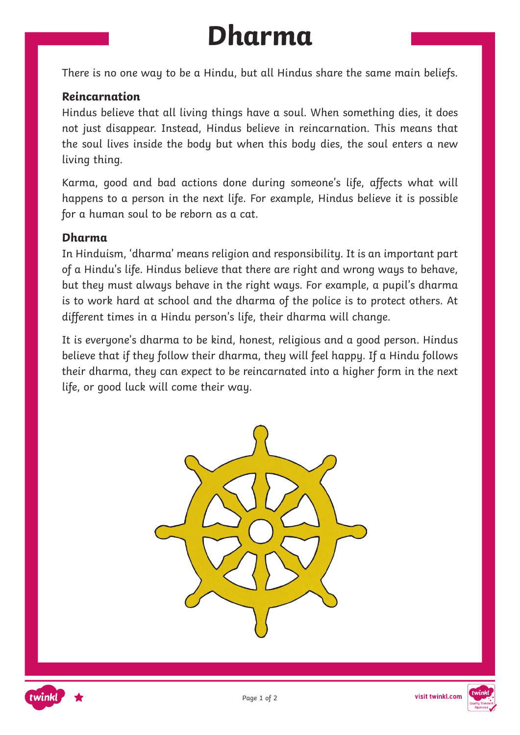# **Dharma**

There is no one way to be a Hindu, but all Hindus share the same main beliefs.

#### **Reincarnation**

Hindus believe that all living things have a soul. When something dies, it does not just disappear. Instead, Hindus believe in reincarnation. This means that the soul lives inside the body but when this body dies, the soul enters a new living thing.

Karma, good and bad actions done during someone's life, affects what will happens to a person in the next life. For example, Hindus believe it is possible for a human soul to be reborn as a cat.

#### **Dharma**

In Hinduism, 'dharma' means religion and responsibility. It is an important part of a Hindu's life. Hindus believe that there are right and wrong ways to behave, but they must always behave in the right ways. For example, a pupil's dharma is to work hard at school and the dharma of the police is to protect others. At different times in a Hindu person's life, their dharma will change.

It is everyone's dharma to be kind, honest, religious and a good person. Hindus believe that if they follow their dharma, they will feel happy. If a Hindu follows their dharma, they can expect to be reincarnated into a higher form in the next life, or good luck will come their way.





visit twinkl.com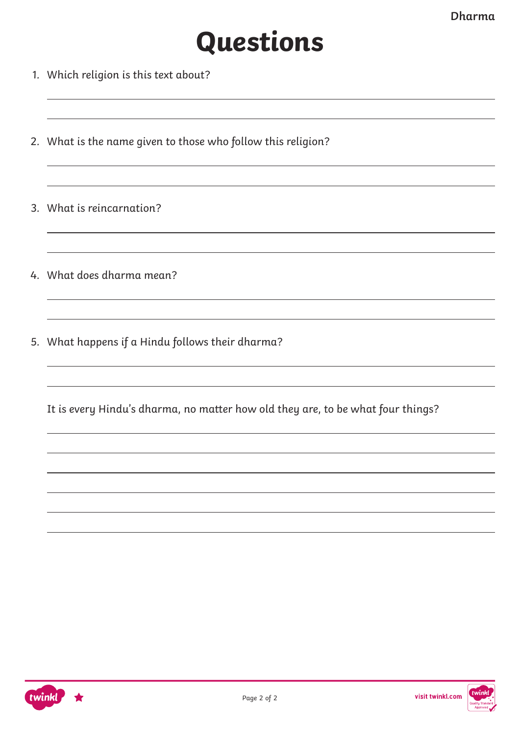## **Questions**

- 1. Which religion is this text about?
- 2. What is the name given to those who follow this religion?
- 3. What is reincarnation?
- 4. What does dharma mean?
- 5. What happens if a Hindu follows their dharma?
	- It is every Hindu's dharma, no matter how old they are, to be what four things?

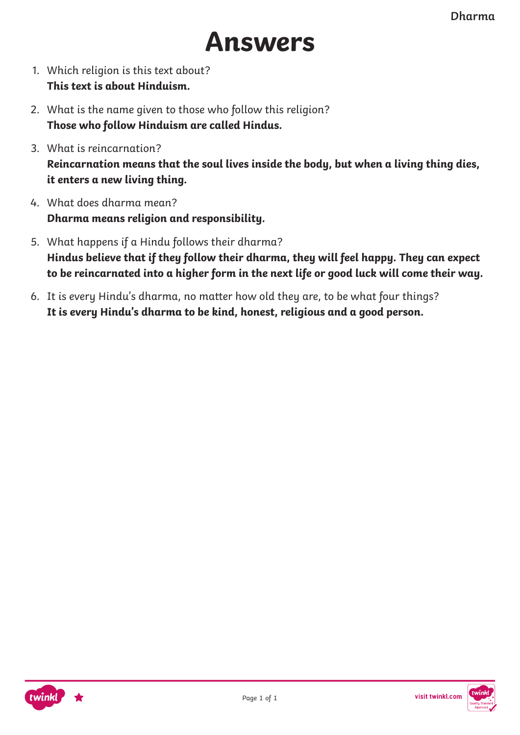

- 1. Which religion is this text about? **This text is about Hinduism.**
- 2. What is the name given to those who follow this religion? **Those who follow Hinduism are called Hindus.**
- 3. What is reincarnation? **Reincarnation means that the soul lives inside the body, but when a living thing dies, it enters a new living thing.**
- 4. What does dharma mean? **Dharma means religion and responsibility.**
- 5. What happens if a Hindu follows their dharma? **Hindus believe that if they follow their dharma, they will feel happy. They can expect to be reincarnated into a higher form in the next life or good luck will come their way.**
- 6. It is every Hindu's dharma, no matter how old they are, to be what four things? **It is every Hindu's dharma to be kind, honest, religious and a good person.**



visit twinkl.com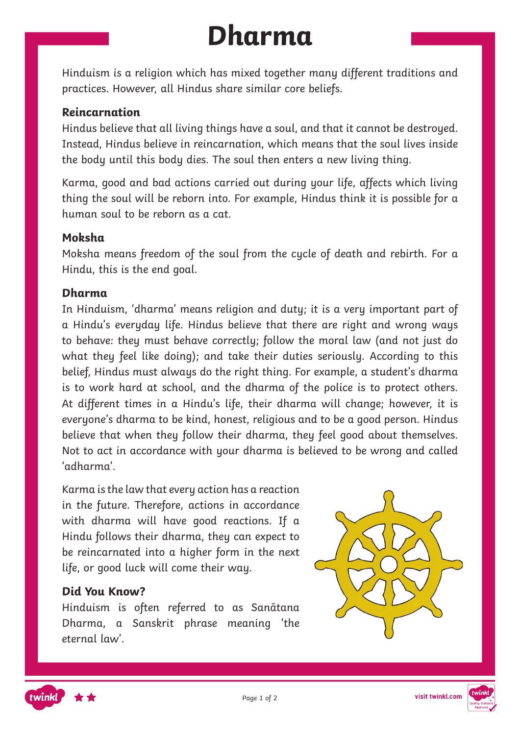# **Dharma**

Hinduism is a religion which has mixed together many different traditions and practices. However, all Hindus share similar core beliefs.

#### **Reincarnation**

Hindus believe that all living things have a soul, and that it cannot be destroyed. Instead, Hindus believe in reincarnation, which means that the soul lives inside the body until this body dies. The soul then enters a new living thing.

Karma, good and bad actions carried out during your life, affects which living thing the soul will be reborn into. For example, Hindus think it is possible for a human soul to be reborn as a cat.

#### **Moksha**

Moksha means freedom of the soul from the cycle of death and rebirth. For a Hindu, this is the end goal.

#### **Dharma**

In Hinduism, 'dharma' means religion and duty; it is a very important part of a Hindu's everyday life. Hindus believe that there are right and wrong ways to behave: they must behave correctly; follow the moral law (and not just do what they feel like doing); and take their duties seriously. According to this belief, Hindus must always do the right thing. For example, a student's dharma is to work hard at school, and the dharma of the police is to protect others. At different times in a Hindu's life, their dharma will change; however, it is everyone's dharma to be kind, honest, religious and to be a good person. Hindus believe that when they follow their dharma, they feel good about themselves. Not to act in accordance with your dharma is believed to be wrong and called 'adharma'.

Karma is the law that every action has a reaction in the future. Therefore, actions in accordance with dharma will have good reactions. If a Hindu follows their dharma, they can expect to be reincarnated into a higher form in the next life, or good luck will come their way.

#### **Did You Know?**

Hinduism is often referred to as Sanātana Dharma, a Sanskrit phrase meaning 'the eternal law'.





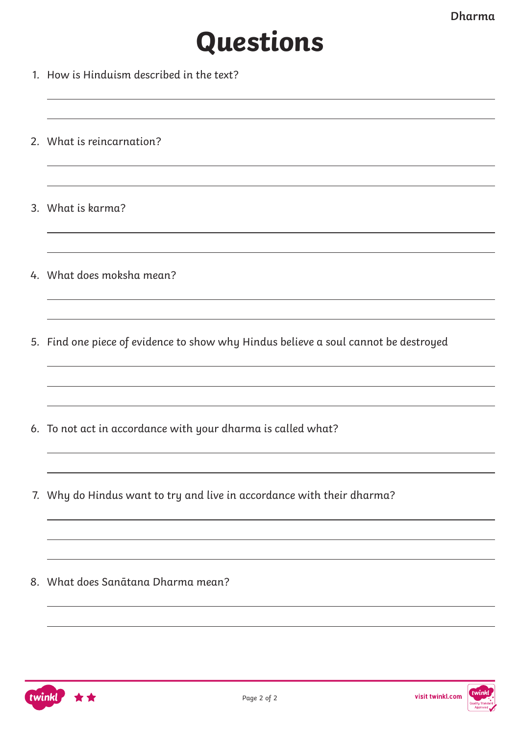### **Questions**

- 1. How is Hinduism described in the text?
- 2. What is reincarnation?
- 3. What is karma?
- 4. What does moksha mean?
- 5. Find one piece of evidence to show why Hindus believe a soul cannot be destroyed
- 6. To not act in accordance with your dharma is called what?
- 7. Why do Hindus want to try and live in accordance with their dharma?

8. What does Sanātana Dharma mean?



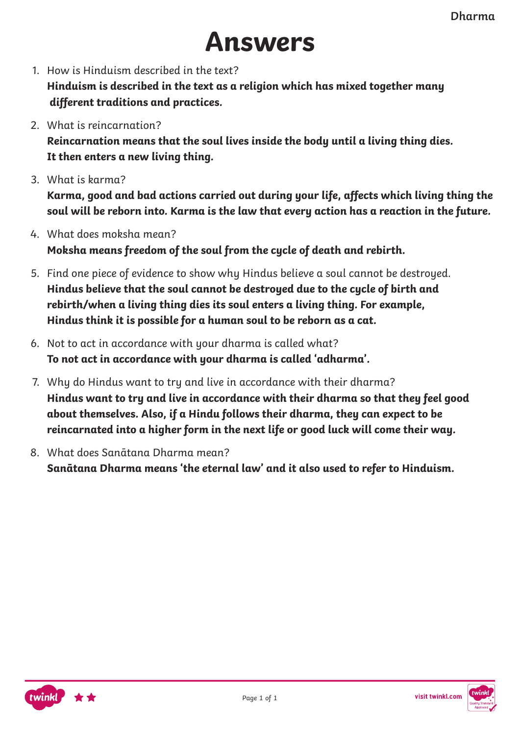### **Answers**

1. How is Hinduism described in the text?

**Hinduism is described in the text as a religion which has mixed together many different traditions and practices.**

2. What is reincarnation?

**Reincarnation means that the soul lives inside the body until a living thing dies. It then enters a new living thing.**

3. What is barma?

**Karma, good and bad actions carried out during your life, affects which living thing the soul will be reborn into. Karma is the law that every action has a reaction in the future.**

- 4. What does moksha mean? **Moksha means freedom of the soul from the cycle of death and rebirth.**
- 5. Find one piece of evidence to show why Hindus believe a soul cannot be destroyed. **Hindus believe that the soul cannot be destroyed due to the cycle of birth and rebirth/when a living thing dies its soul enters a living thing. For example, Hindus think it is possible for a human soul to be reborn as a cat.**
- 6. Not to act in accordance with your dharma is called what? **To not act in accordance with your dharma is called 'adharma'.**
- 7. Why do Hindus want to try and live in accordance with their dharma? **Hindus want to try and live in accordance with their dharma so that they feel good about themselves. Also, if a Hindu follows their dharma, they can expect to be reincarnated into a higher form in the next life or good luck will come their way.**
- 8. What does Sanātana Dharma mean? **Sanātana Dharma means 'the eternal law' and it also used to refer to Hinduism.**



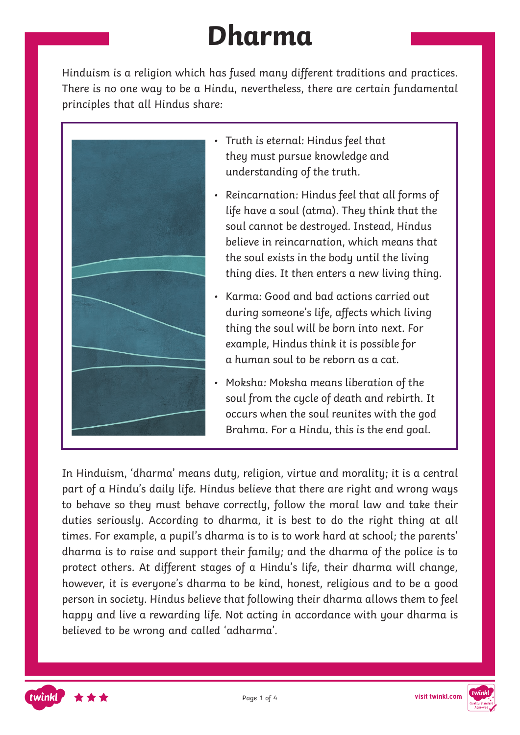# **Dharma**

Hinduism is a religion which has fused many different traditions and practices. There is no one way to be a Hindu, nevertheless, there are certain fundamental principles that all Hindus share:



- Truth is eternal: Hindus feel that they must pursue knowledge and understanding of the truth.
- Reincarnation: Hindus feel that all forms of life have a soul (atma). They think that the soul cannot be destroyed. Instead, Hindus believe in reincarnation, which means that the soul exists in the body until the living thing dies. It then enters a new living thing.
- Karma: Good and bad actions carried out during someone's life, affects which living thing the soul will be born into next. For example, Hindus think it is possible for a human soul to be reborn as a cat.
- Moksha: Moksha means liberation of the soul from the cycle of death and rebirth. It occurs when the soul reunites with the god Brahma. For a Hindu, this is the end goal.

In Hinduism, 'dharma' means duty, religion, virtue and morality; it is a central part of a Hindu's daily life. Hindus believe that there are right and wrong ways to behave so they must behave correctly, follow the moral law and take their duties seriously. According to dharma, it is best to do the right thing at all times. For example, a pupil's dharma is to is to work hard at school; the parents' dharma is to raise and support their family; and the dharma of the police is to protect others. At different stages of a Hindu's life, their dharma will change, however, it is everyone's dharma to be kind, honest, religious and to be a good person in society. Hindus believe that following their dharma allows them to feel happy and live a rewarding life. Not acting in accordance with your dharma is believed to be wrong and called 'adharma'.



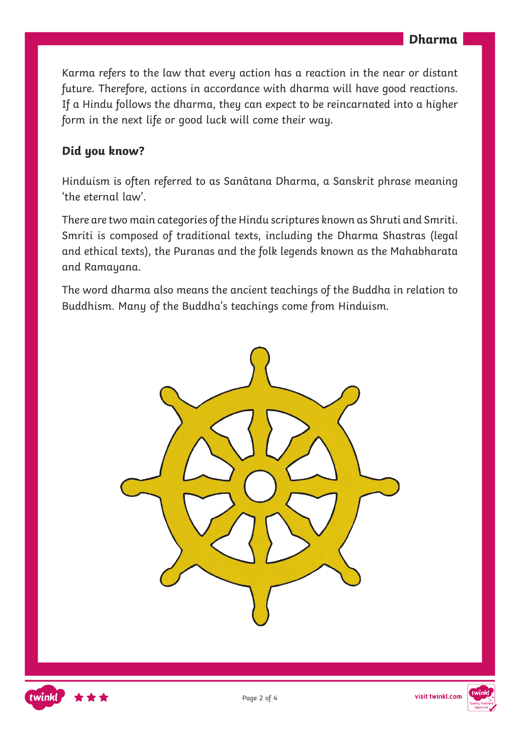Karma refers to the law that every action has a reaction in the near or distant future. Therefore, actions in accordance with dharma will have good reactions. If a Hindu follows the dharma, they can expect to be reincarnated into a higher form in the next life or good luck will come their way.

#### **Did you know?**

Hinduism is often referred to as Sanātana Dharma, a Sanskrit phrase meaning 'the eternal law'.

There are two main categories of the Hindu scriptures known as Shruti and Smriti. Smriti is composed of traditional texts, including the Dharma Shastras (legal and ethical texts), the Puranas and the folk legends known as the Mahabharata and Ramayana.

The word dharma also means the ancient teachings of the Buddha in relation to Buddhism. Many of the Buddha's teachings come from Hinduism.







Page 2 of 4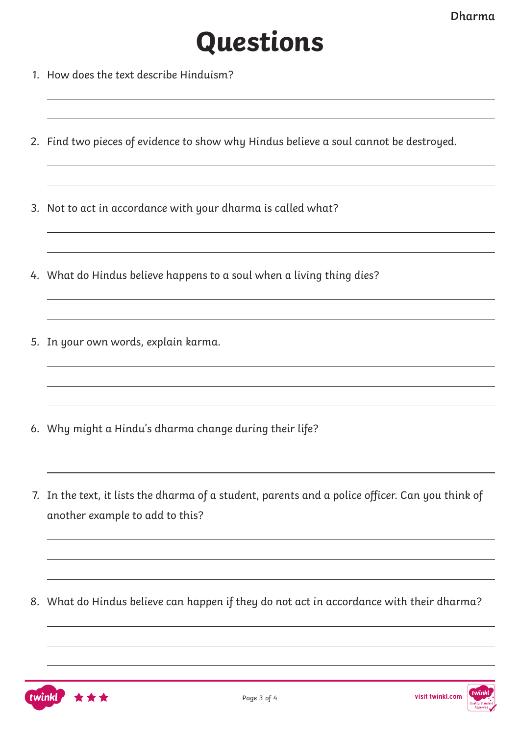# **Questions**

- 1. How does the text describe Hinduism?
- 2. Find two pieces of evidence to show why Hindus believe a soul cannot be destroyed.
- 3. Not to act in accordance with your dharma is called what?
- 4. What do Hindus believe happens to a soul when a living thing dies?
- 5. In your own words, explain karma.
- 6. Why might a Hindu's dharma change during their life?
- 7. In the text, it lists the dharma of a student, parents and a police officer. Can you think of another example to add to this?
- 8. What do Hindus believe can happen if they do not act in accordance with their dharma?

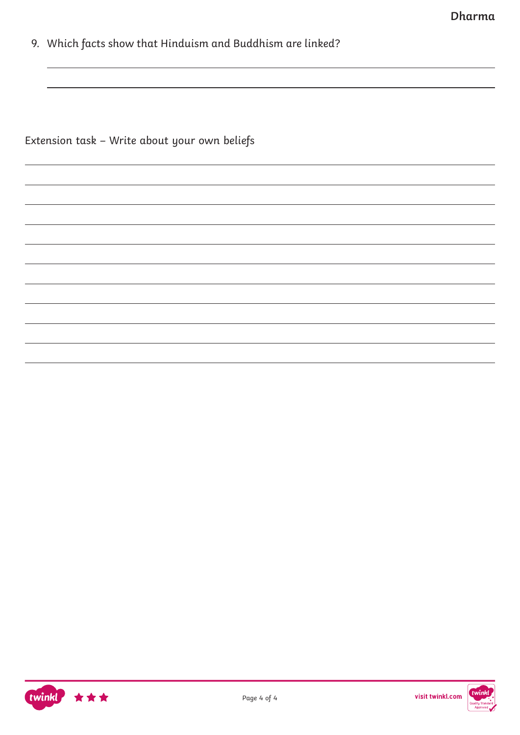9. Which facts show that Hinduism and Buddhism are linked?

Extension task – Write about your own beliefs